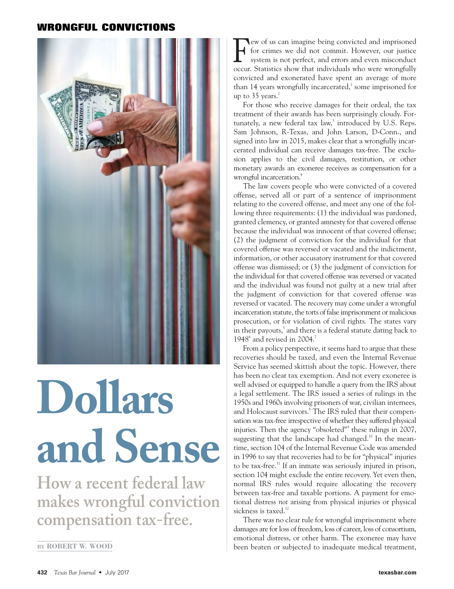## **WRONGFUL CONVICTIONS**



## **Dollars and Sense**

**How a recent federal law makes wrongful conviction compensation tax-free.**

ew of us can imagine being convicted and imprisoned for crimes we did not commit. However, our justice system is not perfect, and errors and even misconduct occur. Statistics show that individuals who were wrongfully convicted and exonerated have spent an average of more than 14 years wrongfully incarcerated, $\frac{1}{2}$  some imprisoned for up to  $35$  years.<sup>2</sup> F

For those who receive damages for their ordeal, the tax treatment of their awards has been surprisingly cloudy. Fortunately, a new federal tax law, $3$  introduced by U.S. Reps. Sam Johnson, R-Texas, and John Larson, D-Conn., and signed into law in 2015, makes clear that a wrongfully incarcerated individual can receive damages tax-free. The exclusion applies to the civil damages, restitution, or other monetary awards an exoneree receives as compensation for a wrongful incarceration.<sup>4</sup>

The law covers people who were convicted of a covered offense, served all or part of a sentence of imprisonment relating to the covered offense, and meet any one of the following three requirements: (1) the individual was pardoned, granted clemency, or granted amnesty for that covered offense because the individual was innocent of that covered offense; (2) the judgment of conviction for the individual for that covered offense was reversed or vacated and the indictment, information, or other accusatory instrument for that covered offense was dismissed; or (3) the judgment of conviction for the individual for that covered offense was reversed or vacated and the individual was found not guilty at a new trial after the judgment of conviction for that covered offense was reversed or vacated. The recovery may come under a wrongful incarceration statute, the torts of false imprisonment or malicious prosecution, or for violation of civil rights. The states vary in their payouts,<sup>5</sup> and there is a federal statute dating back to 1948 $^6$  and revised in 2004.<sup>7</sup>

From a policy perspective, it seems hard to argue that these recoveries should be taxed, and even the Internal Revenue Service has seemed skittish about the topic. However, there has been no clear tax exemption. And not every exoneree is well advised or equipped to handle a query from the IRS about a legal settlement. The IRS issued a series of rulings in the 1950s and 1960s involving prisoners of war, civilian internees, and Holocaust survivors.<sup>8</sup> The IRS ruled that their compensation was tax-free irrespective of whether they suffered physical injuries. Then the agency "obsoleted"<sup>9</sup> these rulings in 2007, suggesting that the landscape had changed.<sup>10</sup> In the meantime, section 104 of the Internal Revenue Code was amended in 1996 to say that recoveries had to be for "physical" injuries to be tax-free.<sup>11</sup> If an inmate was seriously injured in prison, section 104 might exclude the entire recovery. Yet even then, normal IRS rules would require allocating the recovery between tax-free and taxable portions. A payment for emotional distress *not* arising from physical injuries or physical sickness is taxed.<sup>12</sup>

There was no clear rule for wrongful imprisonment where damages are for loss of freedom, loss of career, loss of consortium, emotional distress, or other harm. The exoneree may have **BY** ROBERT W. WOOD **been beaten or subjected to inadequate medical treatment,**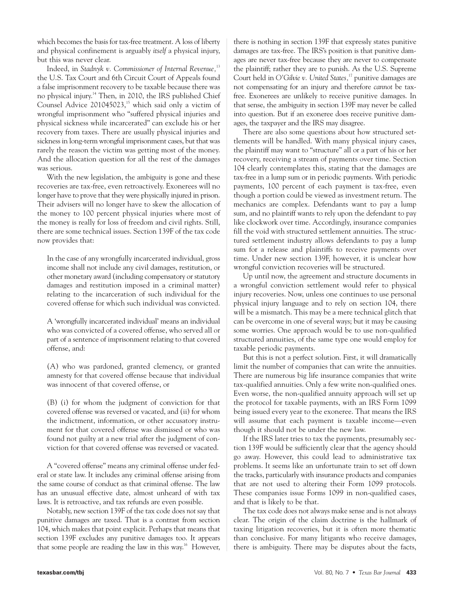which becomes the basis for tax-free treatment. A loss of liberty and physical confinement is arguably *itself* a physical injury, but this was never clear.

Indeed, in *Stadnyk v. Commissioner of Internal Revenue*,<sup>13</sup> the U.S. Tax Court and 6th Circuit Court of Appeals found a false imprisonment recovery to be taxable because there was no physical injury.14 Then, in 2010, the IRS published Chief Counsel Advice 201045023, $15$  which said only a victim of wrongful imprisonment who "suffered physical injuries and physical sickness while incarcerated" can exclude his or her recovery from taxes. There are usually physical injuries and sickness in long-term wrongful imprisonment cases, but that was rarely the reason the victim was getting most of the money. And the allocation question for all the rest of the damages was serious.

With the new legislation, the ambiguity is gone and these recoveries are tax-free, even retroactively. Exonerees will no longer have to prove that they were physically injured in prison. Their advisers will no longer have to skew the allocation of the money to 100 percent physical injuries where most of the money is really for loss of freedom and civil rights. Still, there are some technical issues. Section 139F of the tax code now provides that:

In the case of any wrongfully incarcerated individual, gross income shall not include any civil damages, restitution, or other monetary award (including compensatory or statutory damages and restitution imposed in a criminal matter) relating to the incarceration of such individual for the covered offense for which such individual was convicted.

A 'wrongfully incarcerated individual' means an individual who was convicted of a covered offense, who served all or part of a sentence of imprisonment relating to that covered offense, and:

(A) who was pardoned, granted clemency, or granted amnesty for that covered offense because that individual was innocent of that covered offense, or

(B) (i) for whom the judgment of conviction for that covered offense was reversed or vacated, and (ii) for whom the indictment, information, or other accusatory instrument for that covered offense was dismissed or who was found not guilty at a new trial after the judgment of conviction for that covered offense was reversed or vacated.

A "covered offense" means any criminal offense under federal or state law. It includes any criminal offense arising from the same course of conduct as that criminal offense. The law has an unusual effective date, almost unheard of with tax laws. It is retroactive, and tax refunds are even possible.

Notably, new section 139F of the tax code does *not* say that punitive damages are taxed. That is a contrast from section 104, which makes that point explicit. Perhaps that means that section 139F excludes any punitive damages too. It appears that some people are reading the law in this way.<sup>16</sup> However, there is nothing in section 139F that expressly states punitive damages are tax-free. The IRS's position is that punitive damages are never tax-free because they are never to compensate the plaintiff; rather they are to punish. As the U.S. Supreme Court held in *O'Gilvie v. United States,*<sup>17</sup> punitive damages are not compensating for an injury and therefore *cannot* be taxfree. Exonerees are unlikely to receive punitive damages. In that sense, the ambiguity in section 139F may never be called into question. But if an exoneree does receive punitive damages, the taxpayer and the IRS may disagree.

There are also some questions about how structured settlements will be handled. With many physical injury cases, the plaintiff may want to "structure" all or a part of his or her recovery, receiving a stream of payments over time. Section 104 clearly contemplates this, stating that the damages are tax-free in a lump sum or in periodic payments. With periodic payments, 100 percent of each payment is tax-free, even though a portion could be viewed as investment return. The mechanics are complex. Defendants want to pay a lump sum, and no plaintiff wants to rely upon the defendant to pay like clockwork over time. Accordingly, insurance companies fill the void with structured settlement annuities. The structured settlement industry allows defendants to pay a lump sum for a release and plaintiffs to receive payments over time. Under new section 139F, however, it is unclear how wrongful conviction recoveries will be structured.

Up until now, the agreement and structure documents in a wrongful conviction settlement would refer to physical injury recoveries. Now, unless one continues to use personal physical injury language and to rely on section 104, there will be a mismatch. This may be a mere technical glitch that can be overcome in one of several ways; but it may be causing some worries. One approach would be to use non-qualified structured annuities, of the same type one would employ for taxable periodic payments.

But this is not a perfect solution. First, it will dramatically limit the number of companies that can write the annuities. There are numerous big life insurance companies that write tax-qualified annuities. Only a few write non-qualified ones. Even worse, the non-qualified annuity approach will set up the protocol for taxable payments, with an IRS Form 1099 being issued every year to the exoneree. That means the IRS will assume that each payment is taxable income—even though it should not be under the new law.

If the IRS later tries to tax the payments, presumably section 139F would be sufficiently clear that the agency should go away. However, this could lead to administrative tax problems. It seems like an unfortunate train to set off down the tracks, particularly with insurance products and companies that are not used to altering their Form 1099 protocols. These companies issue Forms 1099 in non-qualified cases, and that is likely to be that.

The tax code does not always make sense and is not always clear. The origin of the claim doctrine is the hallmark of taxing litigation recoveries, but it is often more thematic than conclusive. For many litigants who receive damages, there is ambiguity. There may be disputes about the facts,